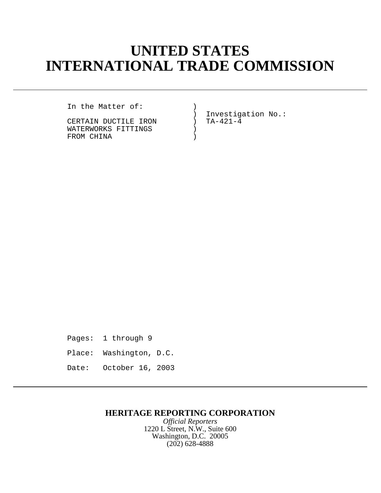# **UNITED STATES INTERNATIONAL TRADE COMMISSION**

In the Matter of: )

CERTAIN DUCTILE IRON )<br>WATERWORKS FITTINGS ) WATERWORKS FITTINGS )<br>FROM CHINA ) FROM CHINA

) Investigation No.:<br>
) TA-421-4

Pages: 1 through 9 Place: Washington, D.C. Date: October 16, 2003

## **HERITAGE REPORTING CORPORATION**

*Official Reporters* 1220 L Street, N.W., Suite 600 Washington, D.C. 20005 (202) 628-4888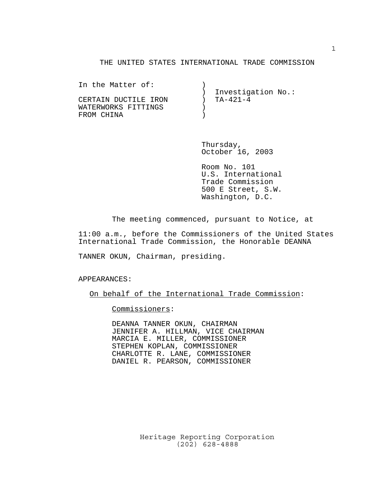#### THE UNITED STATES INTERNATIONAL TRADE COMMISSION

| Investigation No.: |
|--------------------|
| TA-421-4           |
|                    |
|                    |
|                    |

Thursday, October 16, 2003

Room No. 101 U.S. International Trade Commission 500 E Street, S.W. Washington, D.C.

The meeting commenced, pursuant to Notice, at

11:00 a.m., before the Commissioners of the United States International Trade Commission, the Honorable DEANNA

TANNER OKUN, Chairman, presiding.

APPEARANCES:

On behalf of the International Trade Commission:

Commissioners:

DEANNA TANNER OKUN, CHAIRMAN JENNIFER A. HILLMAN, VICE CHAIRMAN MARCIA E. MILLER, COMMISSIONER STEPHEN KOPLAN, COMMISSIONER CHARLOTTE R. LANE, COMMISSIONER DANIEL R. PEARSON, COMMISSIONER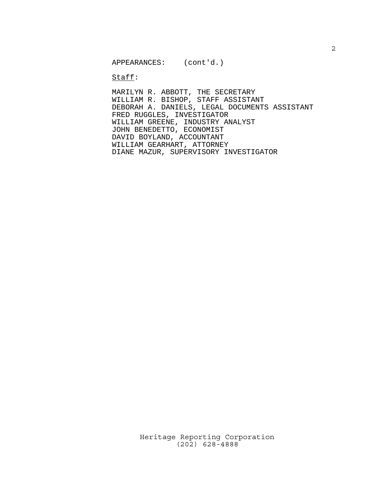APPEARANCES: (cont'd.)

 $\texttt{Staff}:$ 

MARILYN R. ABBOTT, THE SECRETARY WILLIAM R. BISHOP, STAFF ASSISTANT DEBORAH A. DANIELS, LEGAL DOCUMENTS ASSISTANT FRED RUGGLES, INVESTIGATOR WILLIAM GREENE, INDUSTRY ANALYST JOHN BENEDETTO, ECONOMIST DAVID BOYLAND, ACCOUNTANT WILLIAM GEARHART, ATTORNEY DIANE MAZUR, SUPERVISORY INVESTIGATOR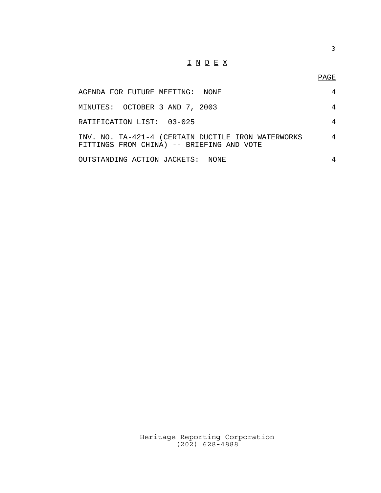### $\underline{\texttt{I}} \underline{\texttt{N}} \underline{\texttt{D}} \underline{\texttt{E}} \underline{\texttt{X}}$

### PAGE

| AGENDA FOR FUTURE MEETING: NONE                                                                 | 4 |
|-------------------------------------------------------------------------------------------------|---|
| MINUTES: OCTOBER 3 AND 7, 2003                                                                  | 4 |
| RATIFICATION LIST: 03-025                                                                       | 4 |
| INV. NO. TA-421-4 (CERTAIN DUCTILE IRON WATERWORKS<br>FITTINGS FROM CHINA) -- BRIEFING AND VOTE | 4 |
| OUTSTANDING ACTION JACKETS: NONE                                                                |   |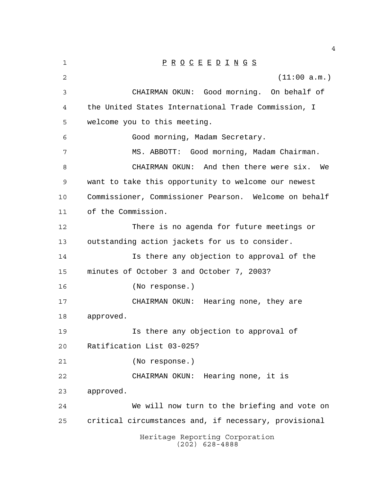| $\mathbf 1$ | $\underline{P} \underline{R} \underline{O} \underline{C} \underline{E} \underline{E} \underline{D} \underline{I} \underline{N} \underline{G} \underline{S}$ |
|-------------|-------------------------------------------------------------------------------------------------------------------------------------------------------------|
| 2           | (11:00 a.m.)                                                                                                                                                |
| 3           | CHAIRMAN OKUN: Good morning. On behalf of                                                                                                                   |
| 4           | the United States International Trade Commission, I                                                                                                         |
| 5           | welcome you to this meeting.                                                                                                                                |
| 6           | Good morning, Madam Secretary.                                                                                                                              |
| 7           | MS. ABBOTT: Good morning, Madam Chairman.                                                                                                                   |
| 8           | CHAIRMAN OKUN: And then there were six.<br>We                                                                                                               |
| 9           | want to take this opportunity to welcome our newest                                                                                                         |
| 10          | Commissioner, Commissioner Pearson. Welcome on behalf                                                                                                       |
| 11          | of the Commission.                                                                                                                                          |
| 12          | There is no agenda for future meetings or                                                                                                                   |
| 13          | outstanding action jackets for us to consider.                                                                                                              |
| 14          | Is there any objection to approval of the                                                                                                                   |
| 15          | minutes of October 3 and October 7, 2003?                                                                                                                   |
| 16          | (No response.)                                                                                                                                              |
| 17          | CHAIRMAN OKUN: Hearing none, they are                                                                                                                       |
| 18          | approved.                                                                                                                                                   |
| 19          | Is there any objection to approval of                                                                                                                       |
| 20          | Ratification List 03-025?                                                                                                                                   |
| 21          | (No response.)                                                                                                                                              |
| 22          | CHAIRMAN OKUN: Hearing none, it is                                                                                                                          |
| 23          | approved.                                                                                                                                                   |
| 24          | We will now turn to the briefing and vote on                                                                                                                |
| 25          | critical circumstances and, if necessary, provisional                                                                                                       |
|             | Heritage Reporting Corporation<br>$(202)$ 628-4888                                                                                                          |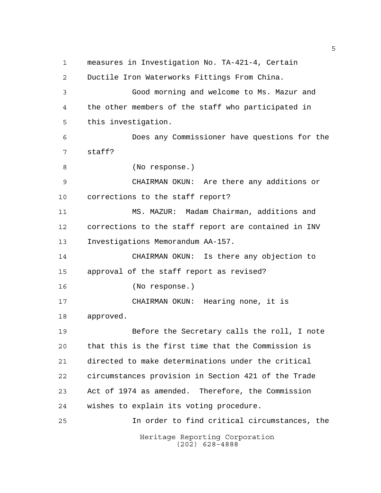Heritage Reporting Corporation measures in Investigation No. TA-421-4, Certain Ductile Iron Waterworks Fittings From China. Good morning and welcome to Ms. Mazur and the other members of the staff who participated in this investigation. Does any Commissioner have questions for the staff? (No response.) CHAIRMAN OKUN: Are there any additions or corrections to the staff report? MS. MAZUR: Madam Chairman, additions and corrections to the staff report are contained in INV Investigations Memorandum AA-157. CHAIRMAN OKUN: Is there any objection to approval of the staff report as revised? (No response.) CHAIRMAN OKUN: Hearing none, it is approved. Before the Secretary calls the roll, I note that this is the first time that the Commission is directed to make determinations under the critical circumstances provision in Section 421 of the Trade Act of 1974 as amended. Therefore, the Commission wishes to explain its voting procedure. In order to find critical circumstances, the

(202) 628-4888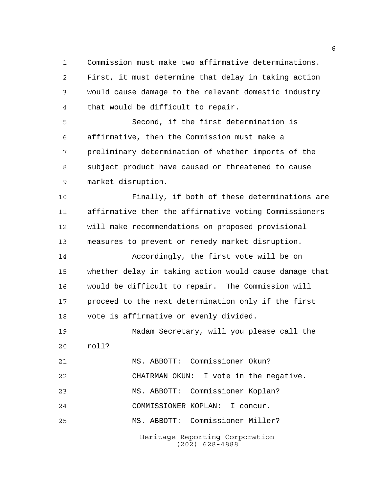Commission must make two affirmative determinations. First, it must determine that delay in taking action would cause damage to the relevant domestic industry that would be difficult to repair.

 Second, if the first determination is affirmative, then the Commission must make a preliminary determination of whether imports of the subject product have caused or threatened to cause market disruption.

 Finally, if both of these determinations are affirmative then the affirmative voting Commissioners will make recommendations on proposed provisional measures to prevent or remedy market disruption.

 Accordingly, the first vote will be on whether delay in taking action would cause damage that would be difficult to repair. The Commission will proceed to the next determination only if the first vote is affirmative or evenly divided.

 Madam Secretary, will you please call the roll? MS. ABBOTT: Commissioner Okun? CHAIRMAN OKUN: I vote in the negative. MS. ABBOTT: Commissioner Koplan? COMMISSIONER KOPLAN: I concur. MS. ABBOTT: Commissioner Miller?

> Heritage Reporting Corporation (202) 628-4888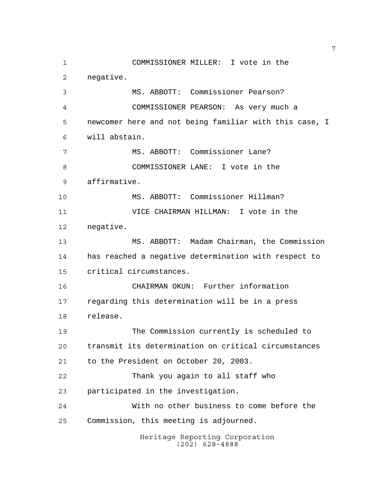Heritage Reporting Corporation (202) 628-4888 COMMISSIONER MILLER: I vote in the negative. MS. ABBOTT: Commissioner Pearson? COMMISSIONER PEARSON: As very much a newcomer here and not being familiar with this case, I will abstain. MS. ABBOTT: Commissioner Lane? COMMISSIONER LANE: I vote in the affirmative. MS. ABBOTT: Commissioner Hillman? VICE CHAIRMAN HILLMAN: I vote in the negative. MS. ABBOTT: Madam Chairman, the Commission has reached a negative determination with respect to critical circumstances. CHAIRMAN OKUN: Further information regarding this determination will be in a press release. The Commission currently is scheduled to transmit its determination on critical circumstances to the President on October 20, 2003. Thank you again to all staff who participated in the investigation. With no other business to come before the Commission, this meeting is adjourned.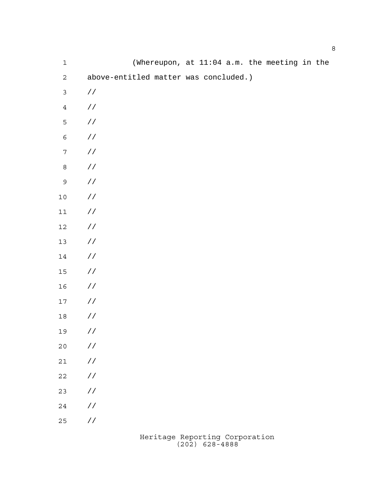| $\mathbf 1$      |                                       |  |  | (Whereupon, at 11:04 a.m. the meeting in the |  |
|------------------|---------------------------------------|--|--|----------------------------------------------|--|
| $\overline{c}$   | above-entitled matter was concluded.) |  |  |                                              |  |
| $\mathsf 3$      | $\!/\!$                               |  |  |                                              |  |
| $\ensuremath{4}$ | $\!/\!$ /                             |  |  |                                              |  |
| $\overline{5}$   | / $\mskip-5mu/\mskip-5mu$             |  |  |                                              |  |
| $\epsilon$       | / $\mskip-5mu/\mskip-5mu$             |  |  |                                              |  |
| $\sqrt{ }$       | / $\mskip-5mu/\mskip-5mu$             |  |  |                                              |  |
| $\,8\,$          | / $\mskip-5mu/\mskip-5mu$             |  |  |                                              |  |
| $\mathsf 9$      | / $\mskip-5mu/\mskip-5mu$             |  |  |                                              |  |
| $1\,0$           | / $\mskip-5mu/\mskip-5mu$             |  |  |                                              |  |
| $11\,$           | / $\mskip-5mu/\mskip-5mu$             |  |  |                                              |  |
| $12\,$           | / $\mskip-5mu/\mskip-5mu$             |  |  |                                              |  |
| $13\,$           | / $\mskip-5mu/\mskip-5mu$             |  |  |                                              |  |
| 14               | / $\mskip-5mu/\mskip-5mu$             |  |  |                                              |  |
| $15\,$           | / $\mskip-5mu/\mskip-5mu$             |  |  |                                              |  |
| 16               | $\!/\!$ /                             |  |  |                                              |  |
| $17\,$           | $\!/\!$ /                             |  |  |                                              |  |
| $1\,8$           | $\!/\!$ /                             |  |  |                                              |  |
| 19               | / $\mskip 1mu /$                      |  |  |                                              |  |
| $2\,0$           | $\sqrt{2}$                            |  |  |                                              |  |
| $2\,1$           | $\!/\!$ /                             |  |  |                                              |  |
| $2\sqrt{2}$      | $\!/\!$ /                             |  |  |                                              |  |
| 23               | $\!/\!$ /                             |  |  |                                              |  |
| $2\sqrt{4}$      | $\!/\!$ /                             |  |  |                                              |  |
| 25               | $\!/\!$ /                             |  |  |                                              |  |
|                  |                                       |  |  |                                              |  |